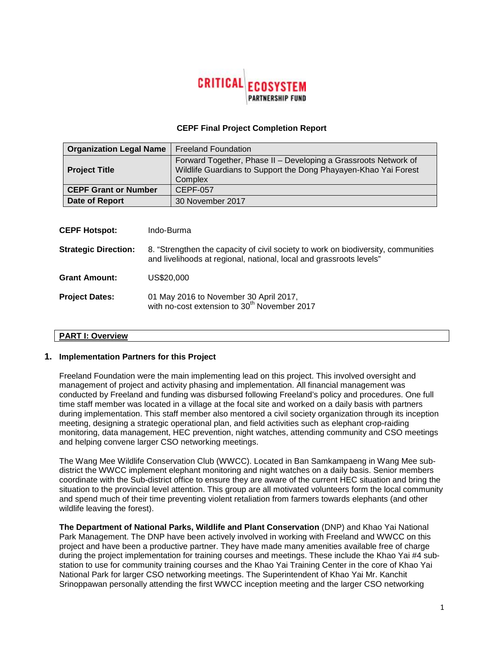

#### **CEPF Final Project Completion Report**

| <b>Organization Legal Name</b> | <b>Freeland Foundation</b>                                                                                                                    |
|--------------------------------|-----------------------------------------------------------------------------------------------------------------------------------------------|
| <b>Project Title</b>           | Forward Together, Phase II - Developing a Grassroots Network of<br>Wildlife Guardians to Support the Dong Phayayen-Khao Yai Forest<br>Complex |
| <b>CEPF Grant or Number</b>    | CEPF-057                                                                                                                                      |
| Date of Report                 | 30 November 2017                                                                                                                              |

| <b>CEPF Hotspot:</b>        | Indo-Burma                                                                                                                                               |
|-----------------------------|----------------------------------------------------------------------------------------------------------------------------------------------------------|
| <b>Strategic Direction:</b> | 8. "Strengthen the capacity of civil society to work on biodiversity, communities<br>and livelihoods at regional, national, local and grassroots levels" |
| <b>Grant Amount:</b>        | US\$20,000                                                                                                                                               |
| <b>Project Dates:</b>       | 01 May 2016 to November 30 April 2017,<br>with no-cost extension to 30 <sup>th</sup> November 2017                                                       |

# **PART I: Overview**

#### **1. Implementation Partners for this Project**

Freeland Foundation were the main implementing lead on this project. This involved oversight and management of project and activity phasing and implementation. All financial management was conducted by Freeland and funding was disbursed following Freeland's policy and procedures. One full time staff member was located in a village at the focal site and worked on a daily basis with partners during implementation. This staff member also mentored a civil society organization through its inception meeting, designing a strategic operational plan, and field activities such as elephant crop-raiding monitoring, data management, HEC prevention, night watches, attending community and CSO meetings and helping convene larger CSO networking meetings.

The Wang Mee Wildlife Conservation Club (WWCC). Located in Ban Samkampaeng in Wang Mee subdistrict the WWCC implement elephant monitoring and night watches on a daily basis. Senior members coordinate with the Sub-district office to ensure they are aware of the current HEC situation and bring the situation to the provincial level attention. This group are all motivated volunteers form the local community and spend much of their time preventing violent retaliation from farmers towards elephants (and other wildlife leaving the forest).

**The Department of National Parks, Wildlife and Plant Conservation** (DNP) and Khao Yai National Park Management. The DNP have been actively involved in working with Freeland and WWCC on this project and have been a productive partner. They have made many amenities available free of charge during the project implementation for training courses and meetings. These include the Khao Yai #4 substation to use for community training courses and the Khao Yai Training Center in the core of Khao Yai National Park for larger CSO networking meetings. The Superintendent of Khao Yai Mr. Kanchit Srinoppawan personally attending the first WWCC inception meeting and the larger CSO networking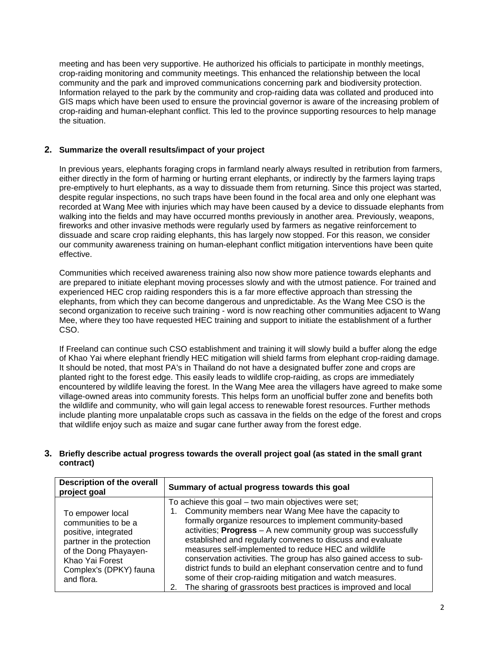meeting and has been very supportive. He authorized his officials to participate in monthly meetings, crop-raiding monitoring and community meetings. This enhanced the relationship between the local community and the park and improved communications concerning park and biodiversity protection. Information relayed to the park by the community and crop-raiding data was collated and produced into GIS maps which have been used to ensure the provincial governor is aware of the increasing problem of crop-raiding and human-elephant conflict. This led to the province supporting resources to help manage the situation.

# **2. Summarize the overall results/impact of your project**

In previous years, elephants foraging crops in farmland nearly always resulted in retribution from farmers, either directly in the form of harming or hurting errant elephants, or indirectly by the farmers laying traps pre-emptively to hurt elephants, as a way to dissuade them from returning. Since this project was started, despite regular inspections, no such traps have been found in the focal area and only one elephant was recorded at Wang Mee with injuries which may have been caused by a device to dissuade elephants from walking into the fields and may have occurred months previously in another area. Previously, weapons, fireworks and other invasive methods were regularly used by farmers as negative reinforcement to dissuade and scare crop raiding elephants, this has largely now stopped. For this reason, we consider our community awareness training on human-elephant conflict mitigation interventions have been quite effective.

Communities which received awareness training also now show more patience towards elephants and are prepared to initiate elephant moving processes slowly and with the utmost patience. For trained and experienced HEC crop raiding responders this is a far more effective approach than stressing the elephants, from which they can become dangerous and unpredictable. As the Wang Mee CSO is the second organization to receive such training - word is now reaching other communities adjacent to Wang Mee, where they too have requested HEC training and support to initiate the establishment of a further CSO.

If Freeland can continue such CSO establishment and training it will slowly build a buffer along the edge of Khao Yai where elephant friendly HEC mitigation will shield farms from elephant crop-raiding damage. It should be noted, that most PA's in Thailand do not have a designated buffer zone and crops are planted right to the forest edge. This easily leads to wildlife crop-raiding, as crops are immediately encountered by wildlife leaving the forest. In the Wang Mee area the villagers have agreed to make some village-owned areas into community forests. This helps form an unofficial buffer zone and benefits both the wildlife and community, who will gain legal access to renewable forest resources. Further methods include planting more unpalatable crops such as cassava in the fields on the edge of the forest and crops that wildlife enjoy such as maize and sugar cane further away from the forest edge.

# **3. Briefly describe actual progress towards the overall project goal (as stated in the small grant contract)**

| <b>Description of the overall</b><br>project goal                                                                                                                                | Summary of actual progress towards this goal                                                                                                                                                                                                                                                                                                                                                                                                                                                                                                                                                                                                     |
|----------------------------------------------------------------------------------------------------------------------------------------------------------------------------------|--------------------------------------------------------------------------------------------------------------------------------------------------------------------------------------------------------------------------------------------------------------------------------------------------------------------------------------------------------------------------------------------------------------------------------------------------------------------------------------------------------------------------------------------------------------------------------------------------------------------------------------------------|
| To empower local<br>communities to be a<br>positive, integrated<br>partner in the protection<br>of the Dong Phayayen-<br>Khao Yai Forest<br>Complex's (DPKY) fauna<br>and flora. | To achieve this goal – two main objectives were set;<br>Community members near Wang Mee have the capacity to<br>formally organize resources to implement community-based<br>activities; Progress - A new community group was successfully<br>established and regularly convenes to discuss and evaluate<br>measures self-implemented to reduce HEC and wildlife<br>conservation activities. The group has also gained access to sub-<br>district funds to build an elephant conservation centre and to fund<br>some of their crop-raiding mitigation and watch measures.<br>The sharing of grassroots best practices is improved and local<br>2. |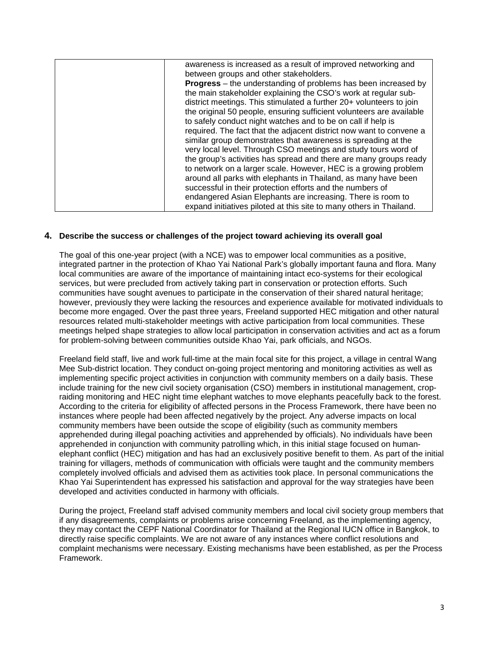| awareness is increased as a result of improved networking and         |
|-----------------------------------------------------------------------|
| between groups and other stakeholders.                                |
| <b>Progress</b> – the understanding of problems has been increased by |
| the main stakeholder explaining the CSO's work at regular sub-        |
| district meetings. This stimulated a further 20+ volunteers to join   |
| the original 50 people, ensuring sufficient volunteers are available  |
| to safely conduct night watches and to be on call if help is          |
| required. The fact that the adjacent district now want to convene a   |
| similar group demonstrates that awareness is spreading at the         |
| very local level. Through CSO meetings and study tours word of        |
| the group's activities has spread and there are many groups ready     |
| to network on a larger scale. However, HEC is a growing problem       |
| around all parks with elephants in Thailand, as many have been        |
| successful in their protection efforts and the numbers of             |
| endangered Asian Elephants are increasing. There is room to           |
| expand initiatives piloted at this site to many others in Thailand.   |

### **4. Describe the success or challenges of the project toward achieving its overall goal**

The goal of this one-year project (with a NCE) was to empower local communities as a positive, integrated partner in the protection of Khao Yai National Park's globally important fauna and flora. Many local communities are aware of the importance of maintaining intact eco-systems for their ecological services, but were precluded from actively taking part in conservation or protection efforts. Such communities have sought avenues to participate in the conservation of their shared natural heritage; however, previously they were lacking the resources and experience available for motivated individuals to become more engaged. Over the past three years, Freeland supported HEC mitigation and other natural resources related multi-stakeholder meetings with active participation from local communities. These meetings helped shape strategies to allow local participation in conservation activities and act as a forum for problem-solving between communities outside Khao Yai, park officials, and NGOs.

Freeland field staff, live and work full-time at the main focal site for this project, a village in central Wang Mee Sub-district location. They conduct on-going project mentoring and monitoring activities as well as implementing specific project activities in conjunction with community members on a daily basis. These include training for the new civil society organisation (CSO) members in institutional management, cropraiding monitoring and HEC night time elephant watches to move elephants peacefully back to the forest. According to the criteria for eligibility of affected persons in the Process Framework, there have been no instances where people had been affected negatively by the project. Any adverse impacts on local community members have been outside the scope of eligibility (such as community members apprehended during illegal poaching activities and apprehended by officials). No individuals have been apprehended in conjunction with community patrolling which, in this initial stage focused on humanelephant conflict (HEC) mitigation and has had an exclusively positive benefit to them. As part of the initial training for villagers, methods of communication with officials were taught and the community members completely involved officials and advised them as activities took place. In personal communications the Khao Yai Superintendent has expressed his satisfaction and approval for the way strategies have been developed and activities conducted in harmony with officials.

During the project, Freeland staff advised community members and local civil society group members that if any disagreements, complaints or problems arise concerning Freeland, as the implementing agency, they may contact the CEPF National Coordinator for Thailand at the Regional IUCN office in Bangkok, to directly raise specific complaints. We are not aware of any instances where conflict resolutions and complaint mechanisms were necessary. Existing mechanisms have been established, as per the Process Framework.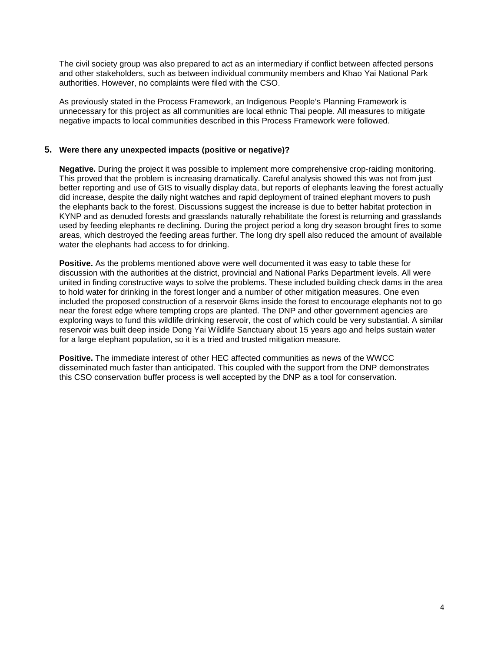The civil society group was also prepared to act as an intermediary if conflict between affected persons and other stakeholders, such as between individual community members and Khao Yai National Park authorities. However, no complaints were filed with the CSO.

As previously stated in the Process Framework, an Indigenous People's Planning Framework is unnecessary for this project as all communities are local ethnic Thai people. All measures to mitigate negative impacts to local communities described in this Process Framework were followed.

# **5. Were there any unexpected impacts (positive or negative)?**

**Negative.** During the project it was possible to implement more comprehensive crop-raiding monitoring. This proved that the problem is increasing dramatically. Careful analysis showed this was not from just better reporting and use of GIS to visually display data, but reports of elephants leaving the forest actually did increase, despite the daily night watches and rapid deployment of trained elephant movers to push the elephants back to the forest. Discussions suggest the increase is due to better habitat protection in KYNP and as denuded forests and grasslands naturally rehabilitate the forest is returning and grasslands used by feeding elephants re declining. During the project period a long dry season brought fires to some areas, which destroyed the feeding areas further. The long dry spell also reduced the amount of available water the elephants had access to for drinking.

**Positive.** As the problems mentioned above were well documented it was easy to table these for discussion with the authorities at the district, provincial and National Parks Department levels. All were united in finding constructive ways to solve the problems. These included building check dams in the area to hold water for drinking in the forest longer and a number of other mitigation measures. One even included the proposed construction of a reservoir 6kms inside the forest to encourage elephants not to go near the forest edge where tempting crops are planted. The DNP and other government agencies are exploring ways to fund this wildlife drinking reservoir, the cost of which could be very substantial. A similar reservoir was built deep inside Dong Yai Wildlife Sanctuary about 15 years ago and helps sustain water for a large elephant population, so it is a tried and trusted mitigation measure.

**Positive.** The immediate interest of other HEC affected communities as news of the WWCC disseminated much faster than anticipated. This coupled with the support from the DNP demonstrates this CSO conservation buffer process is well accepted by the DNP as a tool for conservation.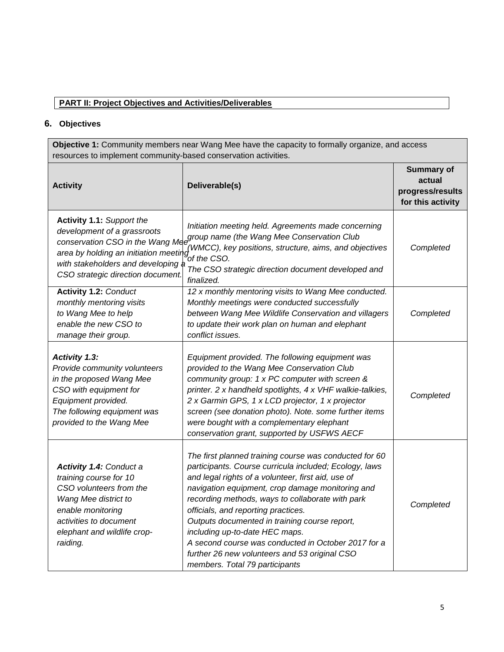# **PART II: Project Objectives and Activities/Deliverables**

# **6. Objectives**

**Objective 1:** Community members near Wang Mee have the capacity to formally organize, and access resources to implement community-based conservation activities.

| <b>Activity</b>                                                                                                                                                                                       | Deliverable(s)                                                                                                                                                                                                                                                                                                                                                                                                                                                                                                                                     | <b>Summary of</b><br>actual<br>progress/results<br>for this activity |
|-------------------------------------------------------------------------------------------------------------------------------------------------------------------------------------------------------|----------------------------------------------------------------------------------------------------------------------------------------------------------------------------------------------------------------------------------------------------------------------------------------------------------------------------------------------------------------------------------------------------------------------------------------------------------------------------------------------------------------------------------------------------|----------------------------------------------------------------------|
| <b>Activity 1.1: Support the</b><br>development of a grassroots<br>area by holding an initiation meeting<br>with stakeholders and developing a<br>CSO strategic direction document.                   | Initiation meeting held. Agreements made concerning<br>conservation CSO in the Wang Mee name and the Wang Mee Conservation Club<br>(WMCC), key positions, structure, aims, and objectives<br>of the CSO.<br>The CSO strategic direction document developed and<br>finalized.                                                                                                                                                                                                                                                                       | Completed                                                            |
| <b>Activity 1.2: Conduct</b><br>monthly mentoring visits<br>to Wang Mee to help<br>enable the new CSO to<br>manage their group.                                                                       | 12 x monthly mentoring visits to Wang Mee conducted.<br>Monthly meetings were conducted successfully<br>between Wang Mee Wildlife Conservation and villagers<br>to update their work plan on human and elephant<br>conflict issues.                                                                                                                                                                                                                                                                                                                | Completed                                                            |
| <b>Activity 1.3:</b><br>Provide community volunteers<br>in the proposed Wang Mee<br>CSO with equipment for<br>Equipment provided.<br>The following equipment was<br>provided to the Wang Mee          | Equipment provided. The following equipment was<br>provided to the Wang Mee Conservation Club<br>community group: 1 x PC computer with screen &<br>printer. 2 x handheld spotlights, 4 x VHF walkie-talkies,<br>2 x Garmin GPS, 1 x LCD projector, 1 x projector<br>screen (see donation photo). Note. some further items<br>were bought with a complementary elephant<br>conservation grant, supported by USFWS AECF                                                                                                                              | Completed                                                            |
| <b>Activity 1.4: Conduct a</b><br>training course for 10<br>CSO volunteers from the<br>Wang Mee district to<br>enable monitoring<br>activities to document<br>elephant and wildlife crop-<br>raiding. | The first planned training course was conducted for 60<br>participants. Course curricula included; Ecology, laws<br>and legal rights of a volunteer, first aid, use of<br>navigation equipment, crop damage monitoring and<br>recording methods, ways to collaborate with park<br>officials, and reporting practices.<br>Outputs documented in training course report,<br>including up-to-date HEC maps.<br>A second course was conducted in October 2017 for a<br>further 26 new volunteers and 53 original CSO<br>members. Total 79 participants | Completed                                                            |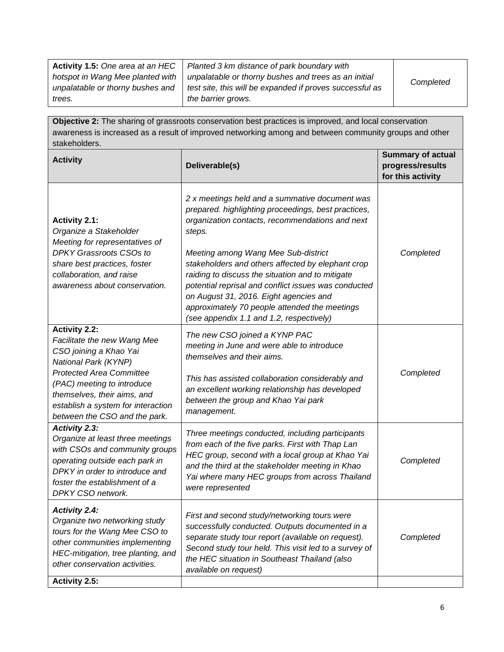| <b>Activity 1.5: One area at an HEC</b> | Planted 3 km distance of park boundary with              |           |
|-----------------------------------------|----------------------------------------------------------|-----------|
| hotspot in Wang Mee planted with        | unpalatable or thorny bushes and trees as an initial     | Completed |
| unpalatable or thorny bushes and        | test site, this will be expanded if proves successful as |           |
| trees.                                  | the barrier grows.                                       |           |

**Objective 2:** The sharing of grassroots conservation best practices is improved, and local conservation awareness is increased as a result of improved networking among and between community groups and other stakeholders.

| <b>Activity</b>                                                                                                                                                                                                                                                              | Deliverable(s)                                                                                                                                                                                                                                                                                                                                                                                                                                                                                                    | <b>Summary of actual</b><br>progress/results<br>for this activity |
|------------------------------------------------------------------------------------------------------------------------------------------------------------------------------------------------------------------------------------------------------------------------------|-------------------------------------------------------------------------------------------------------------------------------------------------------------------------------------------------------------------------------------------------------------------------------------------------------------------------------------------------------------------------------------------------------------------------------------------------------------------------------------------------------------------|-------------------------------------------------------------------|
| <b>Activity 2.1:</b><br>Organize a Stakeholder<br>Meeting for representatives of<br><b>DPKY Grassroots CSOs to</b><br>share best practices, foster<br>collaboration, and raise<br>awareness about conservation.                                                              | 2 x meetings held and a summative document was<br>prepared. highlighting proceedings, best practices,<br>organization contacts, recommendations and next<br>steps.<br>Meeting among Wang Mee Sub-district<br>stakeholders and others affected by elephant crop<br>raiding to discuss the situation and to mitigate<br>potential reprisal and conflict issues was conducted<br>on August 31, 2016. Eight agencies and<br>approximately 70 people attended the meetings<br>(see appendix 1.1 and 1.2, respectively) | Completed                                                         |
| <b>Activity 2.2:</b><br>Facilitate the new Wang Mee<br>CSO joining a Khao Yai<br>National Park (KYNP)<br><b>Protected Area Committee</b><br>(PAC) meeting to introduce<br>themselves, their aims, and<br>establish a system for interaction<br>between the CSO and the park. | The new CSO joined a KYNP PAC<br>meeting in June and were able to introduce<br>themselves and their aims.<br>This has assisted collaboration considerably and<br>an excellent working relationship has developed<br>between the group and Khao Yai park<br>management.                                                                                                                                                                                                                                            | Completed                                                         |
| <b>Activity 2.3:</b><br>Organize at least three meetings<br>with CSOs and community groups<br>operating outside each park in<br>DPKY in order to introduce and<br>foster the establishment of a<br>DPKY CSO network.                                                         | Three meetings conducted, including participants<br>from each of the five parks. First with Thap Lan<br>HEC group, second with a local group at Khao Yai<br>and the third at the stakeholder meeting in Khao<br>Yai where many HEC groups from across Thailand<br>were represented                                                                                                                                                                                                                                | Completed                                                         |
| <b>Activity 2.4:</b><br>Organize two networking study<br>tours for the Wang Mee CSO to<br>other communities implementing<br>HEC-mitigation, tree planting, and<br>other conservation activities.                                                                             | First and second study/networking tours were<br>successfully conducted. Outputs documented in a<br>separate study tour report (available on request).<br>Second study tour held. This visit led to a survey of<br>the HEC situation in Southeast Thailand (also<br>available on request)                                                                                                                                                                                                                          | Completed                                                         |
| <b>Activity 2.5:</b>                                                                                                                                                                                                                                                         |                                                                                                                                                                                                                                                                                                                                                                                                                                                                                                                   |                                                                   |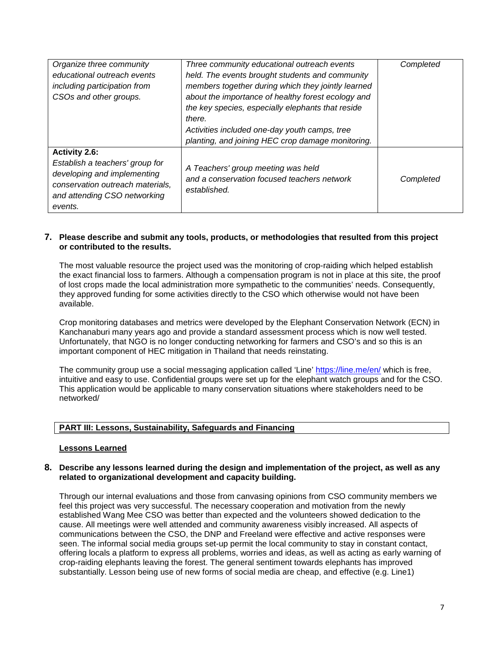| Organize three community<br>educational outreach events<br>including participation from<br>CSOs and other groups.                                                     | Three community educational outreach events<br>held. The events brought students and community<br>members together during which they jointly learned<br>about the importance of healthy forest ecology and<br>the key species, especially elephants that reside<br>there.<br>Activities included one-day youth camps, tree<br>planting, and joining HEC crop damage monitoring. | Completed |
|-----------------------------------------------------------------------------------------------------------------------------------------------------------------------|---------------------------------------------------------------------------------------------------------------------------------------------------------------------------------------------------------------------------------------------------------------------------------------------------------------------------------------------------------------------------------|-----------|
| <b>Activity 2.6:</b><br>Establish a teachers' group for<br>developing and implementing<br>conservation outreach materials,<br>and attending CSO networking<br>events. | A Teachers' group meeting was held<br>and a conservation focused teachers network<br>established.                                                                                                                                                                                                                                                                               | Completed |

### **7. Please describe and submit any tools, products, or methodologies that resulted from this project or contributed to the results.**

The most valuable resource the project used was the monitoring of crop-raiding which helped establish the exact financial loss to farmers. Although a compensation program is not in place at this site, the proof of lost crops made the local administration more sympathetic to the communities' needs. Consequently, they approved funding for some activities directly to the CSO which otherwise would not have been available.

Crop monitoring databases and metrics were developed by the Elephant Conservation Network (ECN) in Kanchanaburi many years ago and provide a standard assessment process which is now well tested. Unfortunately, that NGO is no longer conducting networking for farmers and CSO's and so this is an important component of HEC mitigation in Thailand that needs reinstating.

The community group use a social messaging application called 'Line'<https://line.me/en/> which is free, intuitive and easy to use. Confidential groups were set up for the elephant watch groups and for the CSO. This application would be applicable to many conservation situations where stakeholders need to be networked/

#### **PART III: Lessons, Sustainability, Safeguards and Financing**

#### **Lessons Learned**

#### **8. Describe any lessons learned during the design and implementation of the project, as well as any related to organizational development and capacity building.**

Through our internal evaluations and those from canvasing opinions from CSO community members we feel this project was very successful. The necessary cooperation and motivation from the newly established Wang Mee CSO was better than expected and the volunteers showed dedication to the cause. All meetings were well attended and community awareness visibly increased. All aspects of communications between the CSO, the DNP and Freeland were effective and active responses were seen. The informal social media groups set-up permit the local community to stay in constant contact, offering locals a platform to express all problems, worries and ideas, as well as acting as early warning of crop-raiding elephants leaving the forest. The general sentiment towards elephants has improved substantially. Lesson being use of new forms of social media are cheap, and effective (e.g. Line1)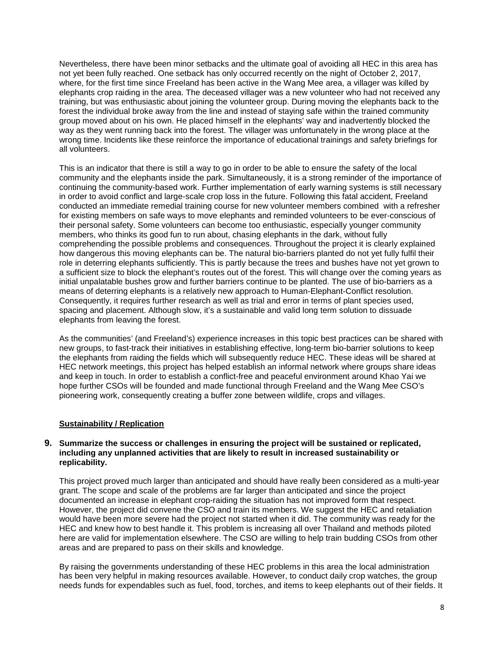Nevertheless, there have been minor setbacks and the ultimate goal of avoiding all HEC in this area has not yet been fully reached. One setback has only occurred recently on the night of October 2, 2017, where, for the first time since Freeland has been active in the Wang Mee area, a villager was killed by elephants crop raiding in the area. The deceased villager was a new volunteer who had not received any training, but was enthusiastic about joining the volunteer group. During moving the elephants back to the forest the individual broke away from the line and instead of staying safe within the trained community group moved about on his own. He placed himself in the elephants' way and inadvertently blocked the way as they went running back into the forest. The villager was unfortunately in the wrong place at the wrong time. Incidents like these reinforce the importance of educational trainings and safety briefings for all volunteers.

This is an indicator that there is still a way to go in order to be able to ensure the safety of the local community and the elephants inside the park. Simultaneously, it is a strong reminder of the importance of continuing the community-based work. Further implementation of early warning systems is still necessary in order to avoid conflict and large-scale crop loss in the future. Following this fatal accident, Freeland conducted an immediate remedial training course for new volunteer members combined with a refresher for existing members on safe ways to move elephants and reminded volunteers to be ever-conscious of their personal safety. Some volunteers can become too enthusiastic, especially younger community members, who thinks its good fun to run about, chasing elephants in the dark, without fully comprehending the possible problems and consequences. Throughout the project it is clearly explained how dangerous this moving elephants can be. The natural bio-barriers planted do not yet fully fulfil their role in deterring elephants sufficiently. This is partly because the trees and bushes have not yet grown to a sufficient size to block the elephant's routes out of the forest. This will change over the coming years as initial unpalatable bushes grow and further barriers continue to be planted. The use of bio-barriers as a means of deterring elephants is a relatively new approach to Human-Elephant-Conflict resolution. Consequently, it requires further research as well as trial and error in terms of plant species used, spacing and placement. Although slow, it's a sustainable and valid long term solution to dissuade elephants from leaving the forest.

As the communities' (and Freeland's) experience increases in this topic best practices can be shared with new groups, to fast-track their initiatives in establishing effective, long-term bio-barrier solutions to keep the elephants from raiding the fields which will subsequently reduce HEC. These ideas will be shared at HEC network meetings, this project has helped establish an informal network where groups share ideas and keep in touch. In order to establish a conflict-free and peaceful environment around Khao Yai we hope further CSOs will be founded and made functional through Freeland and the Wang Mee CSO's pioneering work, consequently creating a buffer zone between wildlife, crops and villages.

# **Sustainability / Replication**

#### **9. Summarize the success or challenges in ensuring the project will be sustained or replicated, including any unplanned activities that are likely to result in increased sustainability or replicability.**

This project proved much larger than anticipated and should have really been considered as a multi-year grant. The scope and scale of the problems are far larger than anticipated and since the project documented an increase in elephant crop-raiding the situation has not improved form that respect. However, the project did convene the CSO and train its members. We suggest the HEC and retaliation would have been more severe had the project not started when it did. The community was ready for the HEC and knew how to best handle it. This problem is increasing all over Thailand and methods piloted here are valid for implementation elsewhere. The CSO are willing to help train budding CSOs from other areas and are prepared to pass on their skills and knowledge.

By raising the governments understanding of these HEC problems in this area the local administration has been very helpful in making resources available. However, to conduct daily crop watches, the group needs funds for expendables such as fuel, food, torches, and items to keep elephants out of their fields. It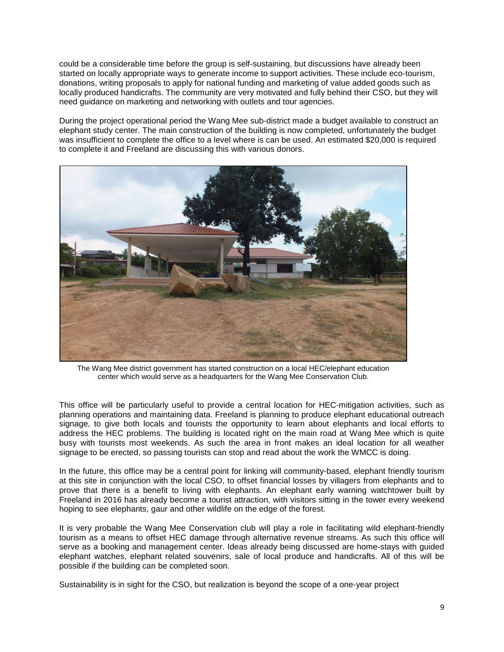could be a considerable time before the group is self-sustaining, but discussions have already been started on locally appropriate ways to generate income to support activities. These include eco-tourism, donations, writing proposals to apply for national funding and marketing of value added goods such as locally produced handicrafts. The community are very motivated and fully behind their CSO, but they will need guidance on marketing and networking with outlets and tour agencies.

During the project operational period the Wang Mee sub-district made a budget available to construct an elephant study center. The main construction of the building is now completed, unfortunately the budget was insufficient to complete the office to a level where is can be used. An estimated \$20,000 is required to complete it and Freeland are discussing this with various donors.



The Wang Mee district government has started construction on a local HEC/elephant education center which would serve as a headquarters for the Wang Mee Conservation Club.

This office will be particularly useful to provide a central location for HEC-mitigation activities, such as planning operations and maintaining data. Freeland is planning to produce elephant educational outreach signage, to give both locals and tourists the opportunity to learn about elephants and local efforts to address the HEC problems. The building is located right on the main road at Wang Mee which is quite busy with tourists most weekends. As such the area in front makes an ideal location for all weather signage to be erected, so passing tourists can stop and read about the work the WMCC is doing.

In the future, this office may be a central point for linking will community-based, elephant friendly tourism at this site in conjunction with the local CSO, to offset financial losses by villagers from elephants and to prove that there is a benefit to living with elephants. An elephant early warning watchtower built by Freeland in 2016 has already become a tourist attraction, with visitors sitting in the tower every weekend hoping to see elephants, gaur and other wildlife on the edge of the forest.

It is very probable the Wang Mee Conservation club will play a role in facilitating wild elephant-friendly tourism as a means to offset HEC damage through alternative revenue streams. As such this office will serve as a booking and management center. Ideas already being discussed are home-stays with guided elephant watches, elephant related souvenirs, sale of local produce and handicrafts. All of this will be possible if the building can be completed soon.

Sustainability is in sight for the CSO, but realization is beyond the scope of a one-year project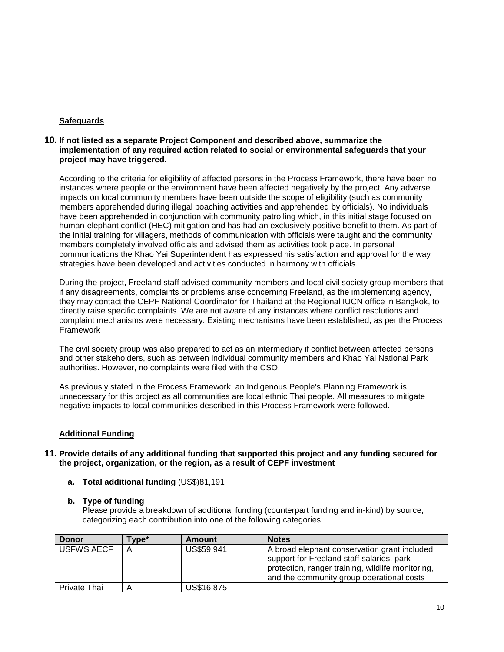# **Safeguards**

### **10. If not listed as a separate Project Component and described above, summarize the implementation of any required action related to social or environmental safeguards that your project may have triggered.**

According to the criteria for eligibility of affected persons in the Process Framework, there have been no instances where people or the environment have been affected negatively by the project. Any adverse impacts on local community members have been outside the scope of eligibility (such as community members apprehended during illegal poaching activities and apprehended by officials). No individuals have been apprehended in conjunction with community patrolling which, in this initial stage focused on human-elephant conflict (HEC) mitigation and has had an exclusively positive benefit to them. As part of the initial training for villagers, methods of communication with officials were taught and the community members completely involved officials and advised them as activities took place. In personal communications the Khao Yai Superintendent has expressed his satisfaction and approval for the way strategies have been developed and activities conducted in harmony with officials.

During the project, Freeland staff advised community members and local civil society group members that if any disagreements, complaints or problems arise concerning Freeland, as the implementing agency, they may contact the CEPF National Coordinator for Thailand at the Regional IUCN office in Bangkok, to directly raise specific complaints. We are not aware of any instances where conflict resolutions and complaint mechanisms were necessary. Existing mechanisms have been established, as per the Process **Framework** 

The civil society group was also prepared to act as an intermediary if conflict between affected persons and other stakeholders, such as between individual community members and Khao Yai National Park authorities. However, no complaints were filed with the CSO.

As previously stated in the Process Framework, an Indigenous People's Planning Framework is unnecessary for this project as all communities are local ethnic Thai people. All measures to mitigate negative impacts to local communities described in this Process Framework were followed.

# **Additional Funding**

### **11. Provide details of any additional funding that supported this project and any funding secured for the project, organization, or the region, as a result of CEPF investment**

**a. Total additional funding** (US\$)81,191

#### **b. Type of funding**

Please provide a breakdown of additional funding (counterpart funding and in-kind) by source, categorizing each contribution into one of the following categories:

| <b>Donor</b>      | Гуре* | <b>Amount</b> | <b>Notes</b>                                                                                                                                                                                |
|-------------------|-------|---------------|---------------------------------------------------------------------------------------------------------------------------------------------------------------------------------------------|
| <b>USFWS AECF</b> | Α     | US\$59,941    | A broad elephant conservation grant included<br>support for Freeland staff salaries, park<br>protection, ranger training, wildlife monitoring,<br>and the community group operational costs |
| Private Thai      | Α     | US\$16,875    |                                                                                                                                                                                             |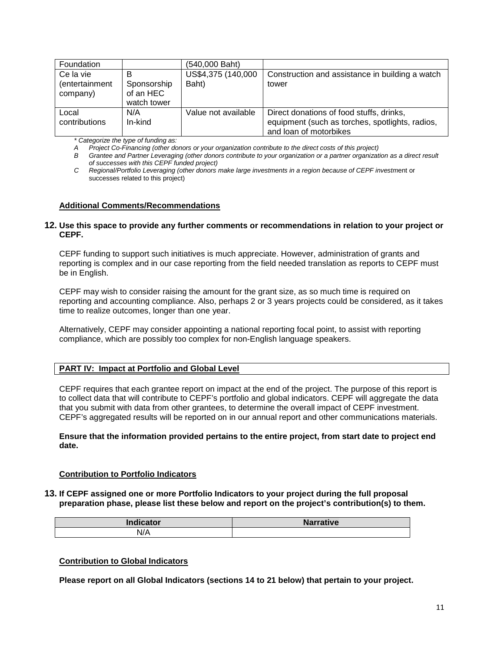| Foundation                              |                                              | (540,000 Baht)              |                                                                                                                       |
|-----------------------------------------|----------------------------------------------|-----------------------------|-----------------------------------------------------------------------------------------------------------------------|
| Ce la vie<br>(entertainment<br>company) | в<br>Sponsorship<br>of an HEC<br>watch tower | US\$4,375 (140,000<br>Baht) | Construction and assistance in building a watch<br>tower                                                              |
| Local<br>contributions                  | N/A<br>In-kind                               | Value not available         | Direct donations of food stuffs, drinks,<br>equipment (such as torches, spotlights, radios,<br>and loan of motorbikes |

*\* Categorize the type of funding as:*

*A Project Co-Financing (other donors or your organization contribute to the direct costs of this project)*

*B Grantee and Partner Leveraging (other donors contribute to your organization or a partner organization as a direct result of successes with this CEPF funded project)*

*C Regional/Portfolio Leveraging (other donors make large investments in a region because of CEPF investm*ent or successes related to this project)

### **Additional Comments/Recommendations**

#### **12. Use this space to provide any further comments or recommendations in relation to your project or CEPF.**

CEPF funding to support such initiatives is much appreciate. However, administration of grants and reporting is complex and in our case reporting from the field needed translation as reports to CEPF must be in English.

CEPF may wish to consider raising the amount for the grant size, as so much time is required on reporting and accounting compliance. Also, perhaps 2 or 3 years projects could be considered, as it takes time to realize outcomes, longer than one year.

Alternatively, CEPF may consider appointing a national reporting focal point, to assist with reporting compliance, which are possibly too complex for non-English language speakers.

#### **PART IV: Impact at Portfolio and Global Level**

CEPF requires that each grantee report on impact at the end of the project. The purpose of this report is to collect data that will contribute to CEPF's portfolio and global indicators. CEPF will aggregate the data that you submit with data from other grantees, to determine the overall impact of CEPF investment. CEPF's aggregated results will be reported on in our annual report and other communications materials.

#### **Ensure that the information provided pertains to the entire project, from start date to project end date.**

#### **Contribution to Portfolio Indicators**

#### **13. If CEPF assigned one or more Portfolio Indicators to your project during the full proposal preparation phase, please list these below and report on the project's contribution(s) to them.**

| $\mathbf{I}$ and $\mathbf{I}$ and $\mathbf{I}$ and $\mathbf{I}$<br>aicator<br><u>ur</u> | Manuelline<br><b>Narrative</b> |
|-----------------------------------------------------------------------------------------|--------------------------------|
| N/A                                                                                     |                                |

#### **Contribution to Global Indicators**

**Please report on all Global Indicators (sections 14 to 21 below) that pertain to your project.**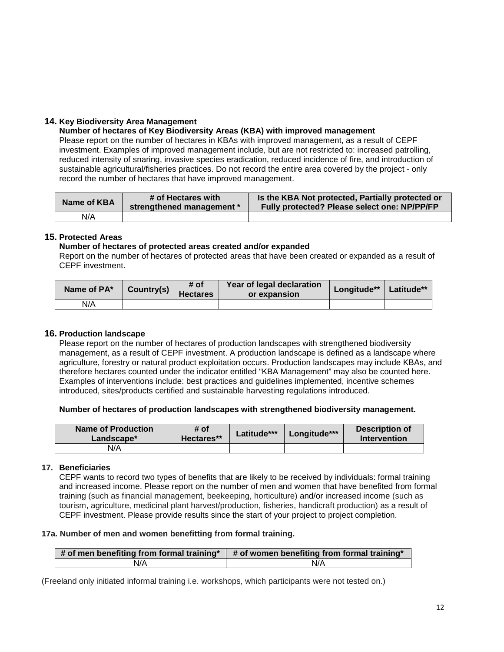# **14. Key Biodiversity Area Management**

### **Number of hectares of Key Biodiversity Areas (KBA) with improved management**

Please report on the number of hectares in KBAs with improved management, as a result of CEPF investment. Examples of improved management include, but are not restricted to: increased patrolling, reduced intensity of snaring, invasive species eradication, reduced incidence of fire, and introduction of sustainable agricultural/fisheries practices. Do not record the entire area covered by the project - only record the number of hectares that have improved management.

| Name of KBA | # of Hectares with<br>strengthened management * | Is the KBA Not protected, Partially protected or<br>Fully protected? Please select one: NP/PP/FP |
|-------------|-------------------------------------------------|--------------------------------------------------------------------------------------------------|
| N/A         |                                                 |                                                                                                  |

# **15. Protected Areas**

#### **Number of hectares of protected areas created and/or expanded**

Report on the number of hectares of protected areas that have been created or expanded as a result of CEPF investment.

| Name of PA* | Country(s) | # of<br><b>Hectares</b> | Year of legal declaration<br>or expansion | Longitude** | Latitude** |
|-------------|------------|-------------------------|-------------------------------------------|-------------|------------|
| N/A         |            |                         |                                           |             |            |

# **16. Production landscape**

Please report on the number of hectares of production landscapes with strengthened biodiversity management, as a result of CEPF investment. A production landscape is defined as a landscape where agriculture, forestry or natural product exploitation occurs. Production landscapes may include KBAs, and therefore hectares counted under the indicator entitled "KBA Management" may also be counted here. Examples of interventions include: best practices and guidelines implemented, incentive schemes introduced, sites/products certified and sustainable harvesting regulations introduced.

#### **Number of hectares of production landscapes with strengthened biodiversity management.**

| Name of Production<br>Landscape* | # of<br>Hectares** | Latitude*** | Longitude*** | Description of<br>Intervention |  |  |
|----------------------------------|--------------------|-------------|--------------|--------------------------------|--|--|
| N/A                              |                    |             |              |                                |  |  |

#### **17. Beneficiaries**

CEPF wants to record two types of benefits that are likely to be received by individuals: formal training and increased income. Please report on the number of men and women that have benefited from formal training (such as financial management, beekeeping, horticulture) and/or increased income (such as tourism, agriculture, medicinal plant harvest/production, fisheries, handicraft production) as a result of CEPF investment. Please provide results since the start of your project to project completion.

#### **17a. Number of men and women benefitting from formal training.**

| $\#$ of men benefiting from formal training* | $\parallel$ # of women benefiting from formal training* |
|----------------------------------------------|---------------------------------------------------------|
| N/A                                          | N/A                                                     |

(Freeland only initiated informal training i.e. workshops, which participants were not tested on.)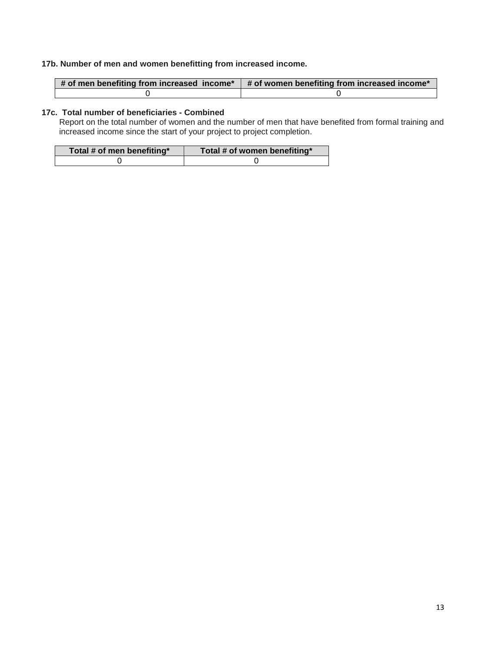# **17b. Number of men and women benefitting from increased income.**

| $\#$ of men benefiting from increased income* | $\#$ of women benefiting from increased income* |
|-----------------------------------------------|-------------------------------------------------|
|                                               |                                                 |

# **17c. Total number of beneficiaries - Combined**

Report on the total number of women and the number of men that have benefited from formal training and increased income since the start of your project to project completion.

| Total # of men benefiting* | Total # of women benefiting* |
|----------------------------|------------------------------|
|                            |                              |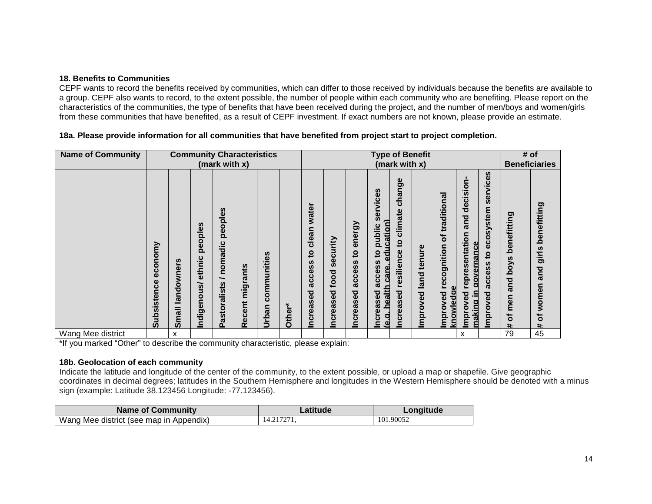### **18. Benefits to Communities**

CEPF wants to record the benefits received by communities, which can differ to those received by individuals because the benefits are available to a group. CEPF also wants to record, to the extent possible, the number of people within each community who are benefiting. Please report on the characteristics of the communities, the type of benefits that have been received during the project, and the number of men/boys and women/girls from these communities that have benefited, as a result of CEPF investment. If exact numbers are not known, please provide an estimate.

### **18a. Please provide information for all communities that have benefited from project start to project completion.**

| <b>Name of Community</b> |                                                              | <b>Community Characteristics</b><br>(mark with x) |                                  |                                             |                 |                                      | <b>Type of Benefit</b><br>(mark with x) |                                                                                                                    |                                                                                               |                                               |                                                                                                                   |                                                                                                       |                         |                                                                    | # of<br><b>Beneficiaries</b>                                                                |                                                                       |                                             |                                                                  |
|--------------------------|--------------------------------------------------------------|---------------------------------------------------|----------------------------------|---------------------------------------------|-----------------|--------------------------------------|-----------------------------------------|--------------------------------------------------------------------------------------------------------------------|-----------------------------------------------------------------------------------------------|-----------------------------------------------|-------------------------------------------------------------------------------------------------------------------|-------------------------------------------------------------------------------------------------------|-------------------------|--------------------------------------------------------------------|---------------------------------------------------------------------------------------------|-----------------------------------------------------------------------|---------------------------------------------|------------------------------------------------------------------|
|                          | omy<br>g<br>ن<br>ω<br>ω<br>ن<br>isten<br><b>S</b><br>음<br>ဖာ | landowners<br><b>Small</b>                        | peoples<br>ethnic<br>Indigenous/ | peoples<br>nomadic<br>∽<br>astoralists<br>൨ | Recent migrants | n<br>nitie<br>っ<br>omm<br>ပ<br>Urban | Other*                                  | water<br>clean<br>$\mathbf{S}$<br>n<br>S,<br>$\mathbf{v}$<br>ပ္ပိ<br>ಥ<br>ਹ<br>$\mathbf{\omega}$<br>eas<br>້ວ<br>₫ | urity<br>ت<br>ھ<br>Ŵ,<br>ठू<br>ڥ<br>ਠ<br>$\mathbf{\omega}$<br>æ<br>$\mathbf 0$<br><u>Incr</u> | energy<br>$\mathbf{a}$<br>access<br>Increased | services<br>education)<br>public<br>$\mathbf{S}$<br>access<br>care<br>health<br>creased<br>q<br>₫<br>$\mathbf{e}$ | Φ<br>ත<br>⊂<br>ma<br>$\mathbf{c}$<br>ate<br>clim<br>$\mathbf{c}$<br>ဗီ<br>resilien<br>eased<br>ō<br>≘ | land tenure<br>Improved | traditional<br>đ<br>ognition<br>ت<br>Φ<br>eda<br>Improved<br>knowl | decision<br>and<br>sentation<br>aovernance<br>repre<br>aking in<br>yed<br>۰<br>la<br>E<br>ε | services<br>cosystem<br>ه<br>$\overline{5}$<br>SS<br>acce<br>Improved | benefitting<br>poys<br>and<br>men<br>৳<br># | benefitting<br>girls<br>and<br>women<br>৳<br>$\ddot{\mathbf{r}}$ |
| Wang Mee district        |                                                              | x                                                 |                                  |                                             |                 |                                      |                                         |                                                                                                                    |                                                                                               |                                               |                                                                                                                   |                                                                                                       |                         |                                                                    | x                                                                                           |                                                                       | 79                                          | 45                                                               |

\*If you marked "Other" to describe the community characteristic, please explain:

#### **18b. Geolocation of each community**

Indicate the latitude and longitude of the center of the community, to the extent possible, or upload a map or shapefile. Give geographic coordinates in decimal degrees; latitudes in the Southern Hemisphere and longitudes in the Western Hemisphere should be denoted with a minus sign (example: Latitude 38.123456 Longitude: -77.123456).

| <b>Name of Community</b>                | Latitude   | ∠ongitude |
|-----------------------------------------|------------|-----------|
| Wang Mee district (see map in Appendix) | 14.217271. | 101.90052 |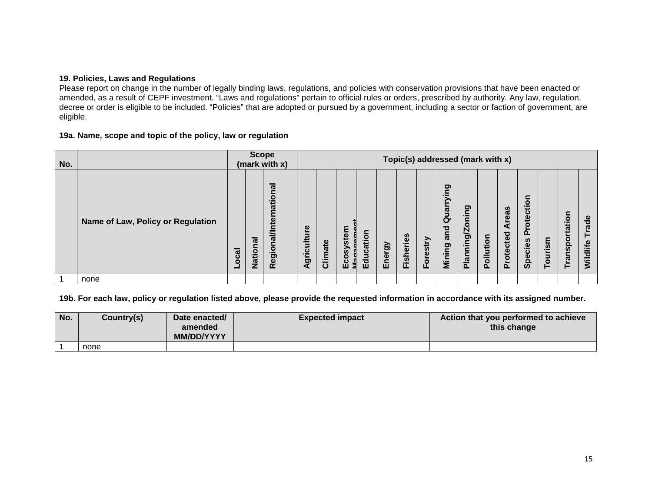### **19. Policies, Laws and Regulations**

Please report on change in the number of legally binding laws, regulations, and policies with conservation provisions that have been enacted or amended, as a result of CEPF investment. "Laws and regulations" pertain to official rules or orders, prescribed by authority. Any law, regulation, decree or order is eligible to be included. "Policies" that are adopted or pursued by a government, including a sector or faction of government, are eligible.

# **19a. Name, scope and topic of the policy, law or regulation**

| No. |                                   |        | <b>Scope</b>  | (mark with x)          |                      |         |           |          |            |                  |                |                            | Topic(s) addressed (mark with x)  |           |                  |                                                           |         |                           |                   |
|-----|-----------------------------------|--------|---------------|------------------------|----------------------|---------|-----------|----------|------------|------------------|----------------|----------------------------|-----------------------------------|-----------|------------------|-----------------------------------------------------------|---------|---------------------------|-------------------|
|     | Name of Law, Policy or Regulation | ಡ<br>ŏ | <b>Nation</b> | Regional/International | Φ<br>griculture<br>⋖ | Climate | Ecosystem | Educatio | nergy<br>面 | <b>Fisheries</b> | orestry<br>LL. | Quarrying<br>and<br>Mining | ರಾ<br>≘.<br>$\circ$<br>Planning/Z | Pollution | eas<br>Protected | $\circ$<br>$\bar{\mathbf{t}}$<br>قِ<br>$\circ$<br>Species | Tourism | ation<br>$\circ$<br>ransp | Trade<br>Wildlife |
| 1   | none                              |        |               |                        |                      |         |           |          |            |                  |                |                            |                                   |           |                  |                                                           |         |                           |                   |

# **19b. For each law, policy or regulation listed above, please provide the requested information in accordance with its assigned number.**

| No. | Country(s) | Date enacted/<br>amended<br><b>MM/DD/YYYY</b> | <b>Expected impact</b> | Action that you performed to achieve<br>this change |
|-----|------------|-----------------------------------------------|------------------------|-----------------------------------------------------|
|     | none       |                                               |                        |                                                     |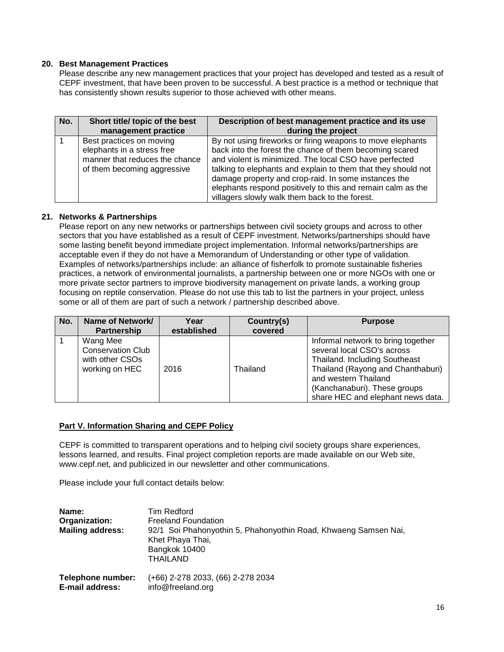### **20. Best Management Practices**

Please describe any new management practices that your project has developed and tested as a result of CEPF investment, that have been proven to be successful. A best practice is a method or technique that has consistently shown results superior to those achieved with other means.

| No. | Short title/ topic of the best<br>management practice | Description of best management practice and its use<br>during the project |
|-----|-------------------------------------------------------|---------------------------------------------------------------------------|
|     |                                                       |                                                                           |
|     | Best practices on moving                              | By not using fireworks or firing weapons to move elephants                |
|     | elephants in a stress free                            | back into the forest the chance of them becoming scared                   |
|     | manner that reduces the chance                        | and violent is minimized. The local CSO have perfected                    |
|     | of them becoming aggressive                           | talking to elephants and explain to them that they should not             |
|     |                                                       | damage property and crop-raid. In some instances the                      |
|     |                                                       | elephants respond positively to this and remain calm as the               |
|     |                                                       | villagers slowly walk them back to the forest.                            |

### **21. Networks & Partnerships**

Please report on any new networks or partnerships between civil society groups and across to other sectors that you have established as a result of CEPF investment. Networks/partnerships should have some lasting benefit beyond immediate project implementation. Informal networks/partnerships are acceptable even if they do not have a Memorandum of Understanding or other type of validation. Examples of networks/partnerships include: an alliance of fisherfolk to promote sustainable fisheries practices, a network of environmental journalists, a partnership between one or more NGOs with one or more private sector partners to improve biodiversity management on private lands, a working group focusing on reptile conservation. Please do not use this tab to list the partners in your project, unless some or all of them are part of such a network / partnership described above.

| No. | Name of Network/<br><b>Partnership</b>                                    | Year<br>established | Country(s)<br>covered | <b>Purpose</b>                                                                                                                                                                                                                      |
|-----|---------------------------------------------------------------------------|---------------------|-----------------------|-------------------------------------------------------------------------------------------------------------------------------------------------------------------------------------------------------------------------------------|
|     | Wang Mee<br><b>Conservation Club</b><br>with other CSOs<br>working on HEC | 2016                | Thailand              | Informal network to bring together<br>several local CSO's across<br>Thailand. Including Southeast<br>Thailand (Rayong and Chanthaburi)<br>and western Thailand<br>(Kanchanaburi). These groups<br>share HEC and elephant news data. |

# **Part V. Information Sharing and CEPF Policy**

CEPF is committed to transparent operations and to helping civil society groups share experiences, lessons learned, and results. Final project completion reports are made available on our Web site, [www.cepf.net,](http://www.cepf.net/) and publicized in our newsletter and other communications.

Please include your full contact details below:

| Name:<br>Organization:<br><b>Mailing address:</b> | <b>Tim Redford</b><br><b>Freeland Foundation</b><br>92/1 Soi Phahonyothin 5, Phahonyothin Road, Khwaeng Samsen Nai,<br>Khet Phaya Thai,<br>Bangkok 10400<br>THAILAND |
|---------------------------------------------------|----------------------------------------------------------------------------------------------------------------------------------------------------------------------|
| Telephone number:                                 | (+66) 2-278 2033, (66) 2-278 2034                                                                                                                                    |
| E-mail address:                                   | info@freeland.org                                                                                                                                                    |